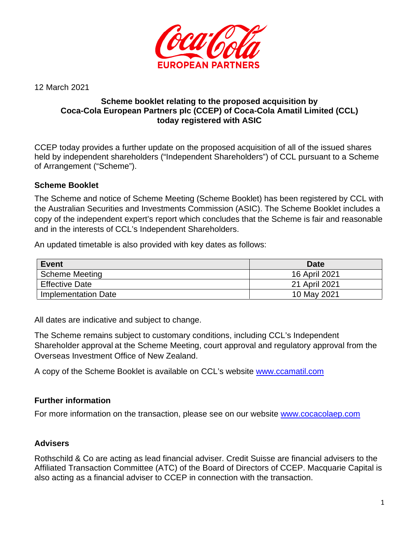

12 March 2021

## **Scheme booklet relating to the proposed acquisition by Coca-Cola European Partners plc (CCEP) of Coca-Cola Amatil Limited (CCL) today registered with ASIC**

CCEP today provides a further update on the proposed acquisition of all of the issued shares held by independent shareholders ("Independent Shareholders") of CCL pursuant to a Scheme of Arrangement ("Scheme").

# **Scheme Booklet**

The Scheme and notice of Scheme Meeting (Scheme Booklet) has been registered by CCL with the Australian Securities and Investments Commission (ASIC). The Scheme Booklet includes a copy of the independent expert's report which concludes that the Scheme is fair and reasonable and in the interests of CCL's Independent Shareholders.

An updated timetable is also provided with key dates as follows:

| <b>Event</b>          | <b>Date</b>   |
|-----------------------|---------------|
| <b>Scheme Meeting</b> | 16 April 2021 |
| <b>Effective Date</b> | 21 April 2021 |
| Implementation Date   | 10 May 2021   |

All dates are indicative and subject to change.

The Scheme remains subject to customary conditions, including CCL's Independent Shareholder approval at the Scheme Meeting, court approval and regulatory approval from the Overseas Investment Office of New Zealand.

A copy of the Scheme Booklet is available on CCL's website [www.ccamatil.com](http://www.ccamatil.com/)

## **Further information**

For more information on the transaction, please see on our website [www.cocacolaep.com](http://www.cocacolaep.com/) 

## **Advisers**

Rothschild & Co are acting as lead financial adviser. Credit Suisse are financial advisers to the Affiliated Transaction Committee (ATC) of the Board of Directors of CCEP. Macquarie Capital is also acting as a financial adviser to CCEP in connection with the transaction.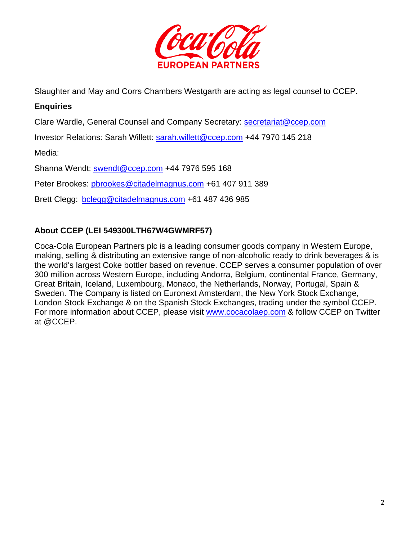

Slaughter and May and Corrs Chambers Westgarth are acting as legal counsel to CCEP.

## **Enquiries**

Clare Wardle, General Counsel and Company Secretary: [secretariat@ccep.com](mailto:secretariat@ccep.com) 

Investor Relations: Sarah Willett: [sarah.willett@ccep.com](mailto:sarah.willett@ccep.com) +44 7970 145 218

Media:

Shanna Wendt: [swendt@ccep.com](mailto:swendt@ccep.com) +44 7976 595 168

Peter Brookes: [pbrookes@citadelmagnus.com](mailto:pbrookes@citadelmagnus.com) +61 407 911 389

Brett Clegg: [bclegg@citadelmagnus.com](mailto:bclegg@citadelmagnus.com) +61 487 436 985

## **About CCEP (LEI 549300LTH67W4GWMRF57)**

Coca-Cola European Partners plc is a leading consumer goods company in Western Europe, making, selling & distributing an extensive range of non-alcoholic ready to drink beverages & is the world's largest Coke bottler based on revenue. CCEP serves a consumer population of over 300 million across Western Europe, including Andorra, Belgium, continental France, Germany, Great Britain, Iceland, Luxembourg, Monaco, the Netherlands, Norway, Portugal, Spain & Sweden. The Company is listed on Euronext Amsterdam, the New York Stock Exchange, London Stock Exchange & on the Spanish Stock Exchanges, trading under the symbol CCEP. For more information about CCEP, please visit [www.cocacolaep.com](http://www.cocacolaep.com/) & follow CCEP on Twitter at @CCEP.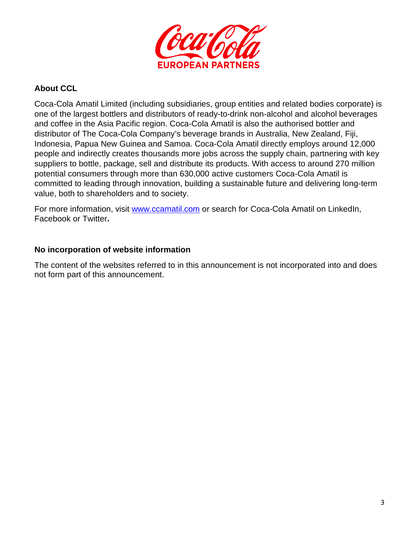

## **About CCL**

Coca-Cola Amatil Limited (including subsidiaries, group entities and related bodies corporate) is one of the largest bottlers and distributors of ready-to-drink non-alcohol and alcohol beverages and coffee in the Asia Pacific region. Coca-Cola Amatil is also the authorised bottler and distributor of The Coca-Cola Company's beverage brands in Australia, New Zealand, Fiji, Indonesia, Papua New Guinea and Samoa. Coca-Cola Amatil directly employs around 12,000 people and indirectly creates thousands more jobs across the supply chain, partnering with key suppliers to bottle, package, sell and distribute its products. With access to around 270 million potential consumers through more than 630,000 active customers Coca-Cola Amatil is committed to leading through innovation, building a sustainable future and delivering long-term value, both to shareholders and to society.

For more information, visit [www.ccamatil.com](http://www.ccamatil.com/) or search for Coca-Cola Amatil on LinkedIn, Facebook or Twitter**.** 

### **No incorporation of website information**

The content of the websites referred to in this announcement is not incorporated into and does not form part of this announcement.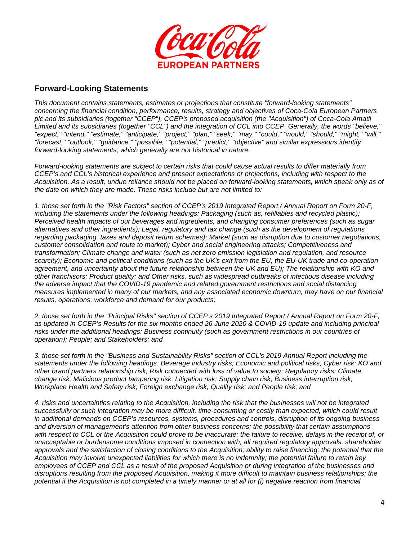

#### **Forward-Looking Statements**

*This document contains statements, estimates or projections that constitute "forward-looking statements" concerning the financial condition, performance, results, strategy and objectives of Coca-Cola European Partners plc and its subsidiaries (together "CCEP"), CCEP's proposed acquisition (the "Acquisition") of Coca-Cola Amatil Limited and its subsidiaries (together "CCL") and the integration of CCL into CCEP. Generally, the words "believe," "expect," "intend," "estimate," "anticipate," "project," "plan," "seek," "may," "could," "would," "should," "might," "will," "forecast," "outlook," "guidance," "possible," "potential," "predict," "objective" and similar expressions identify forward-looking statements, which generally are not historical in nature.* 

*Forward-looking statements are subject to certain risks that could cause actual results to differ materially from CCEP's and CCL's historical experience and present expectations or projections, including with respect to the Acquisition. As a result, undue reliance should not be placed on forward-looking statements, which speak only as of the date on which they are made. These risks include but are not limited to:* 

*1. those set forth in the "Risk Factors" section of CCEP's 2019 Integrated Report / Annual Report on Form 20-F,*  including the statements under the following headings: Packaging (such as, refillables and recycled plastic); *Perceived health impacts of our beverages and ingredients, and changing consumer preferences (such as sugar alternatives and other ingredients); Legal, regulatory and tax change (such as the development of regulations regarding packaging, taxes and deposit return schemes); Market (such as disruption due to customer negotiations, customer consolidation and route to market); Cyber and social engineering attacks; Competitiveness and transformation; Climate change and water (such as net zero emission legislation and regulation, and resource scarcity); Economic and political conditions (such as the UK's exit from the EU, the EU-UK trade and co-operation*  agreement, and uncertainty about the future relationship between the UK and EU); The relationship with KO and *other franchisors; Product quality; and Other risks, such as widespread outbreaks of infectious disease including the adverse impact that the COVID-19 pandemic and related government restrictions and social distancing measures implemented in many of our markets, and any associated economic downturn, may have on our financial results, operations, workforce and demand for our products;* 

*2. those set forth in the "Principal Risks" section of CCEP's 2019 Integrated Report / Annual Report on Form 20-F,*  as updated in CCEP's Results for the six months ended 26 June 2020 & COVID-19 update and including principal *risks under the additional headings: Business continuity (such as government restrictions in our countries of operation); People; and Stakeholders; and* 

*3. those set forth in the "Business and Sustainability Risks" section of CCL's 2019 Annual Report including the statements under the following headings: Beverage industry risks; Economic and political risks; Cyber risk; KO and other brand partners relationship risk; Risk connected with loss of value to society; Regulatory risks; Climate change risk; Malicious product tampering risk; Litigation risk; Supply chain risk; Business interruption risk; Workplace Health and Safety risk; Foreign exchange risk; Quality risk; and People risk; and* 

*4. risks and uncertainties relating to the Acquisition, including the risk that the businesses will not be integrated*  successfully or such integration may be more difficult, time-consuming or costly than expected, which could result *in additional demands on CCEP's resources, systems, procedures and controls, disruption of its ongoing business and diversion of management's attention from other business concerns; the possibility that certain assumptions with respect to CCL or the Acquisition could prove to be inaccurate; the failure to receive, delays in the receipt of, or unacceptable or burdensome conditions imposed in connection with, all required regulatory approvals, shareholder approvals and the satisfaction of closing conditions to the Acquisition; ability to raise financing; the potential that the Acquisition may involve unexpected liabilities for which there is no indemnity; the potential failure to retain key employees of CCEP and CCL as a result of the proposed Acquisition or during integration of the businesses and disruptions resulting from the proposed Acquisition, making it more difficult to maintain business relationships; the potential if the Acquisition is not completed in a timely manner or at all for (i) negative reaction from financial*